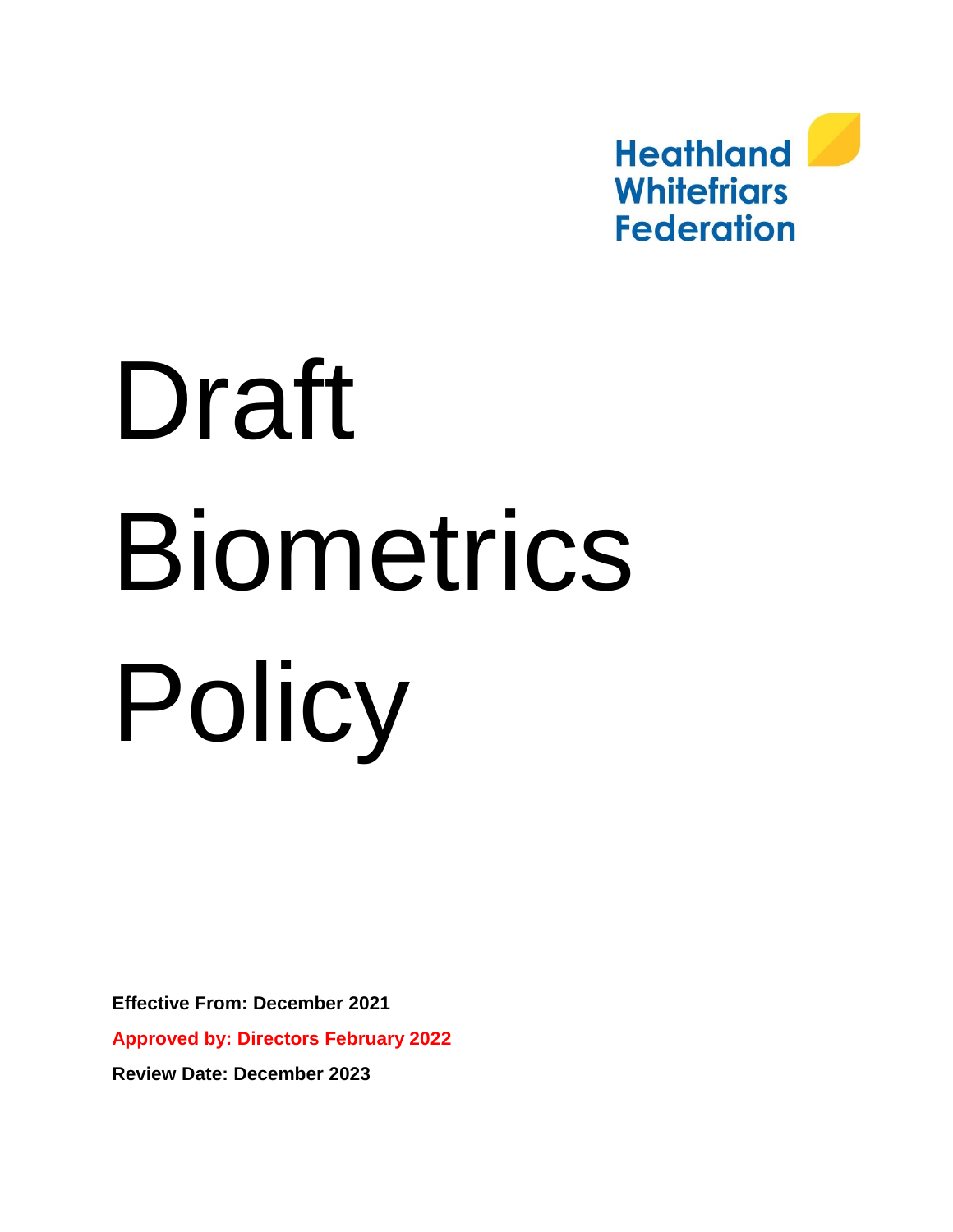

# Draft Biometrics Policy

**Effective From: December 2021**

**Approved by: Directors February 2022**

**Review Date: December 2023**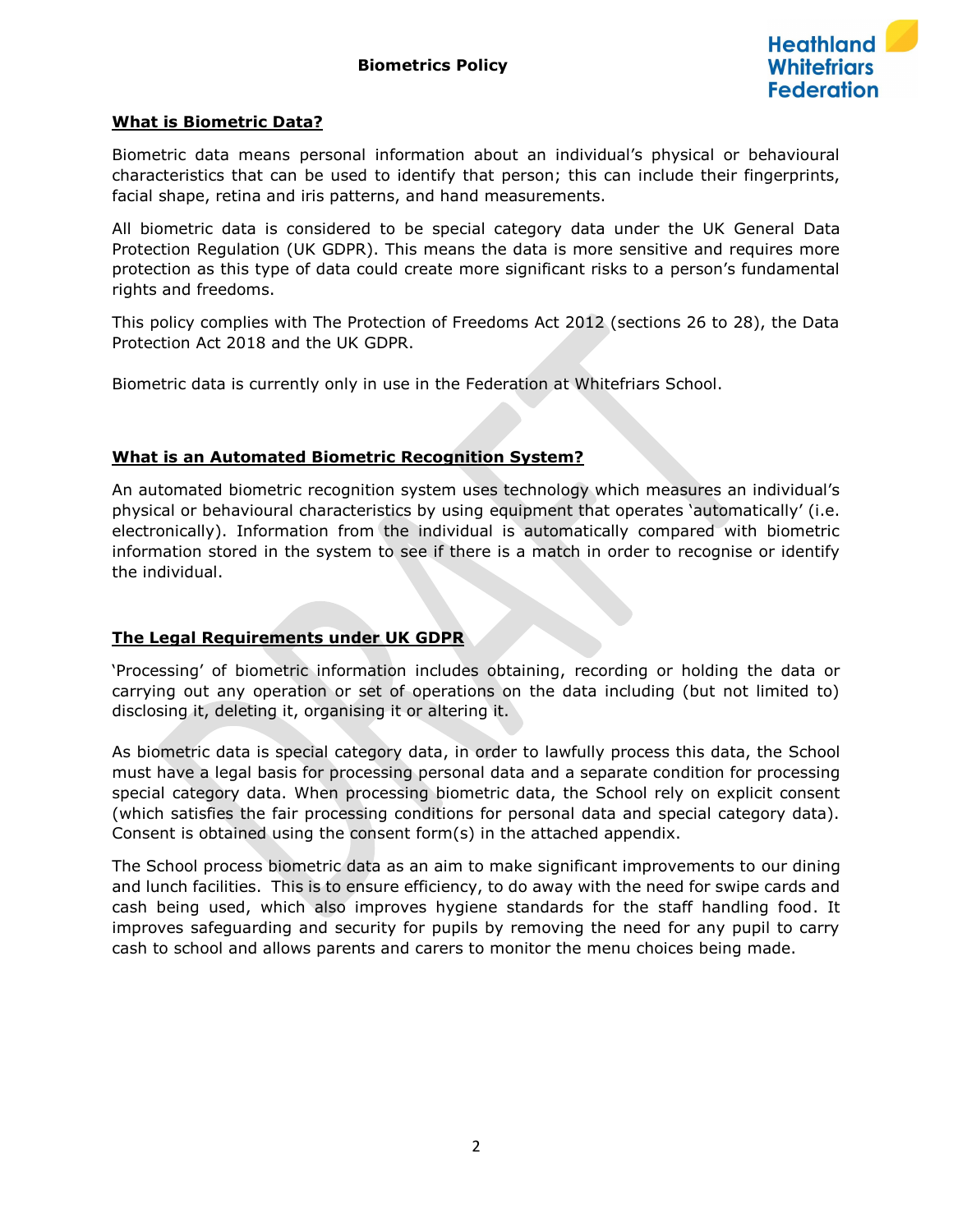

## **What is Biometric Data?**

Biometric data means personal information about an individual's physical or behavioural characteristics that can be used to identify that person; this can include their fingerprints, facial shape, retina and iris patterns, and hand measurements.

All biometric data is considered to be special category data under the UK General Data Protection Regulation (UK GDPR). This means the data is more sensitive and requires more protection as this type of data could create more significant risks to a person's fundamental rights and freedoms.

This policy complies with The Protection of Freedoms Act 2012 (sections 26 to 28), the Data Protection Act 2018 and the UK GDPR.

Biometric data is currently only in use in the Federation at Whitefriars School.

## **What is an Automated Biometric Recognition System?**

An automated biometric recognition system uses technology which measures an individual's physical or behavioural characteristics by using equipment that operates 'automatically' (i.e. electronically). Information from the individual is automatically compared with biometric information stored in the system to see if there is a match in order to recognise or identify the individual.

## **The Legal Requirements under UK GDPR**

'Processing' of biometric information includes obtaining, recording or holding the data or carrying out any operation or set of operations on the data including (but not limited to) disclosing it, deleting it, organising it or altering it.

As biometric data is special category data, in order to lawfully process this data, the School must have a legal basis for processing personal data and a separate condition for processing special category data. When processing biometric data, the School rely on explicit consent (which satisfies the fair processing conditions for personal data and special category data). Consent is obtained using the consent form(s) in the attached appendix.

The School process biometric data as an aim to make significant improvements to our dining and lunch facilities. This is to ensure efficiency, to do away with the need for swipe cards and cash being used, which also improves hygiene standards for the staff handling food. It improves safeguarding and security for pupils by removing the need for any pupil to carry cash to school and allows parents and carers to monitor the menu choices being made.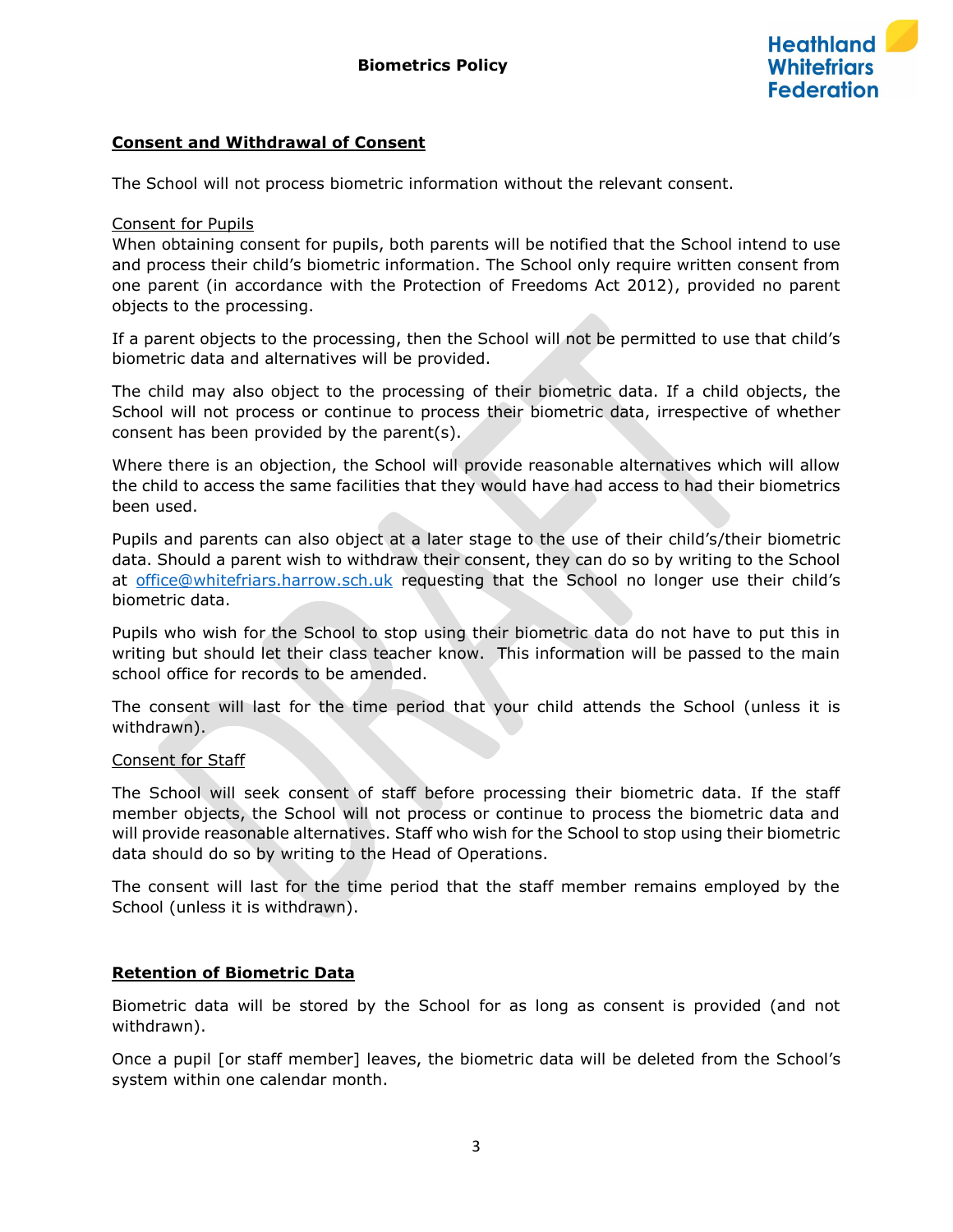

## **Consent and Withdrawal of Consent**

The School will not process biometric information without the relevant consent.

#### Consent for Pupils

When obtaining consent for pupils, both parents will be notified that the School intend to use and process their child's biometric information. The School only require written consent from one parent (in accordance with the Protection of Freedoms Act 2012), provided no parent objects to the processing.

If a parent objects to the processing, then the School will not be permitted to use that child's biometric data and alternatives will be provided.

The child may also object to the processing of their biometric data. If a child objects, the School will not process or continue to process their biometric data, irrespective of whether consent has been provided by the parent(s).

Where there is an objection, the School will provide reasonable alternatives which will allow the child to access the same facilities that they would have had access to had their biometrics been used.

Pupils and parents can also object at a later stage to the use of their child's/their biometric data. Should a parent wish to withdraw their consent, they can do so by writing to the School at [office@whitefriars.harrow.sch.uk](mailto:office@whitefriars.harrow.sch.uk) requesting that the School no longer use their child's biometric data.

Pupils who wish for the School to stop using their biometric data do not have to put this in writing but should let their class teacher know. This information will be passed to the main school office for records to be amended.

The consent will last for the time period that your child attends the School (unless it is withdrawn).

#### Consent for Staff

The School will seek consent of staff before processing their biometric data. If the staff member objects, the School will not process or continue to process the biometric data and will provide reasonable alternatives. Staff who wish for the School to stop using their biometric data should do so by writing to the Head of Operations.

The consent will last for the time period that the staff member remains employed by the School (unless it is withdrawn).

#### **Retention of Biometric Data**

Biometric data will be stored by the School for as long as consent is provided (and not withdrawn).

Once a pupil [or staff member] leaves, the biometric data will be deleted from the School's system within one calendar month.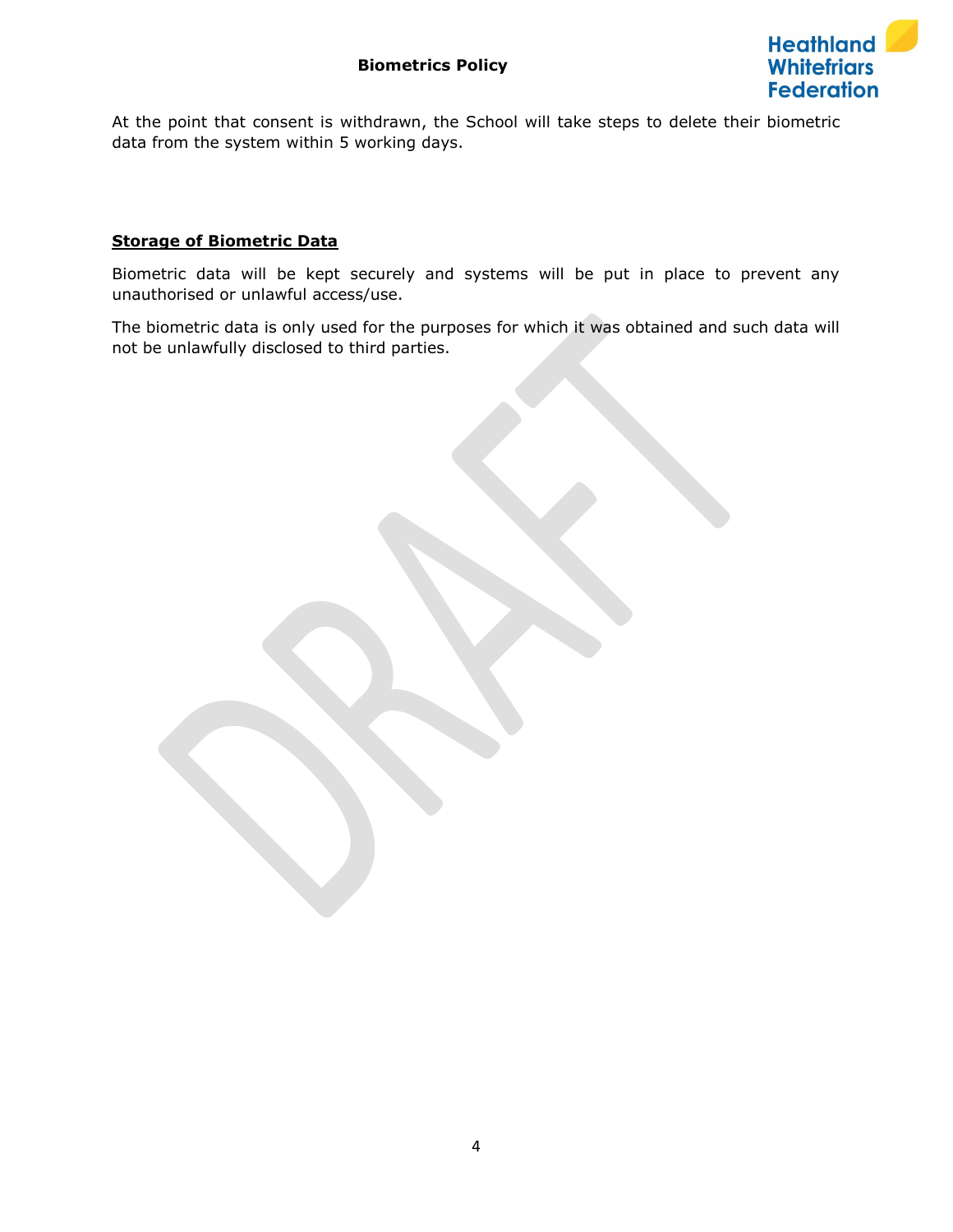

At the point that consent is withdrawn, the School will take steps to delete their biometric data from the system within 5 working days.

## **Storage of Biometric Data**

Biometric data will be kept securely and systems will be put in place to prevent any unauthorised or unlawful access/use.

The biometric data is only used for the purposes for which it was obtained and such data will not be unlawfully disclosed to third parties.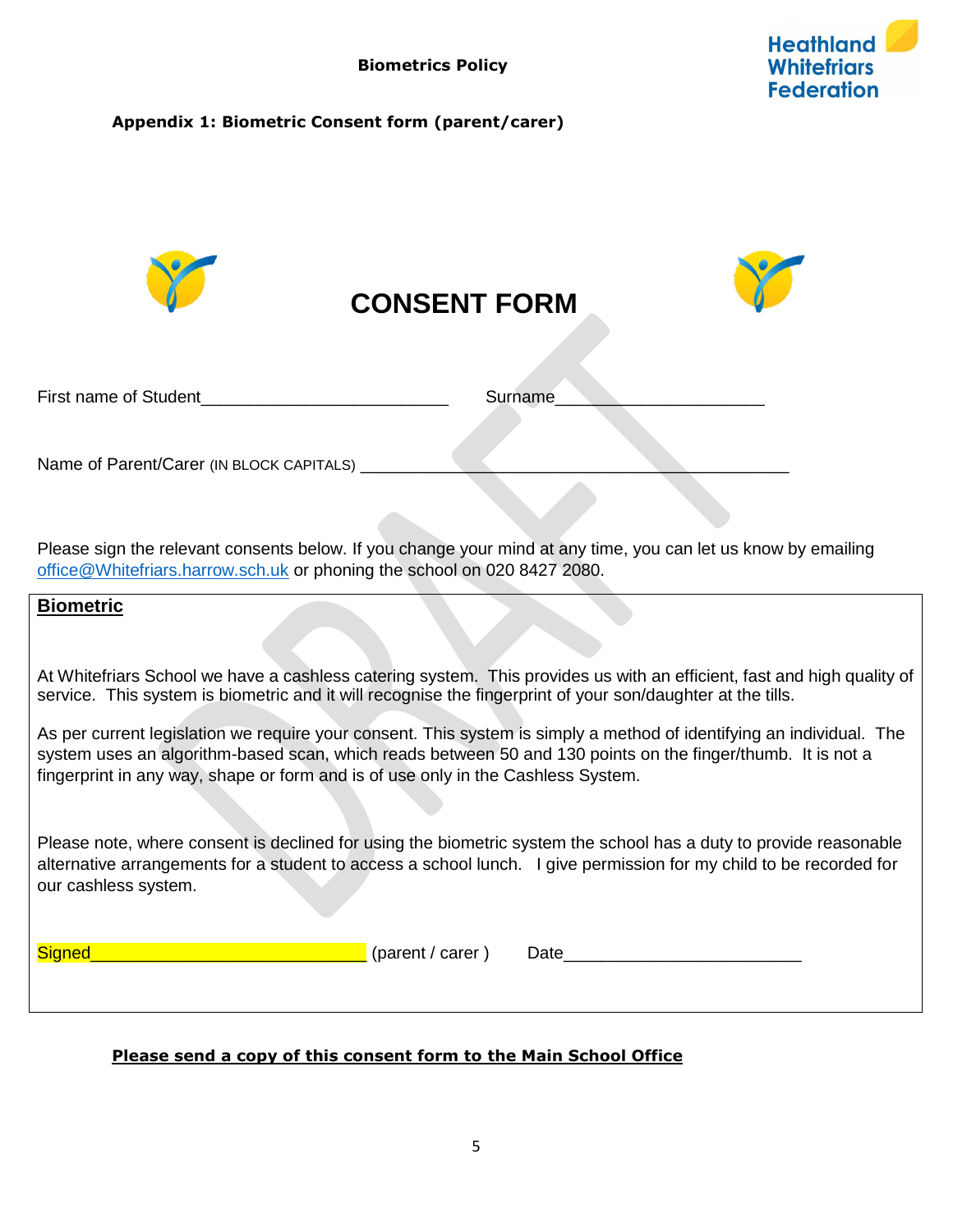

# **Appendix 1: Biometric Consent form (parent/carer)**

|                                          | <b>CONSENT FORM</b> |  |
|------------------------------------------|---------------------|--|
| First name of Student                    | Surname             |  |
| Name of Parent/Carer (IN BLOCK CAPITALS) |                     |  |

Please sign the relevant consents below. If you change your mind at any time, you can let us know by emailing [office@Whitefriars.harrow.sch.uk](mailto:office@Whitefriars.harrow.sch.uk) or phoning the school on 020 8427 2080.

## **Biometric**

At Whitefriars School we have a cashless catering system. This provides us with an efficient, fast and high quality of service. This system is biometric and it will recognise the fingerprint of your son/daughter at the tills.

As per current legislation we require your consent. This system is simply a method of identifying an individual. The system uses an algorithm-based scan, which reads between 50 and 130 points on the finger/thumb. It is not a fingerprint in any way, shape or form and is of use only in the Cashless System.

Please note, where consent is declined for using the biometric system the school has a duty to provide reasonable alternative arrangements for a student to access a school lunch. I give permission for my child to be recorded for our cashless system.

| siane |
|-------|
|-------|

Signed\_\_\_\_\_\_\_\_\_\_\_\_\_\_\_\_\_\_\_\_\_\_\_\_\_\_\_\_\_ (parent / carer ) Date\_\_\_\_\_\_\_\_\_\_\_\_\_\_\_\_\_\_\_\_\_\_\_\_\_

## **Please send a copy of this consent form to the Main School Office**